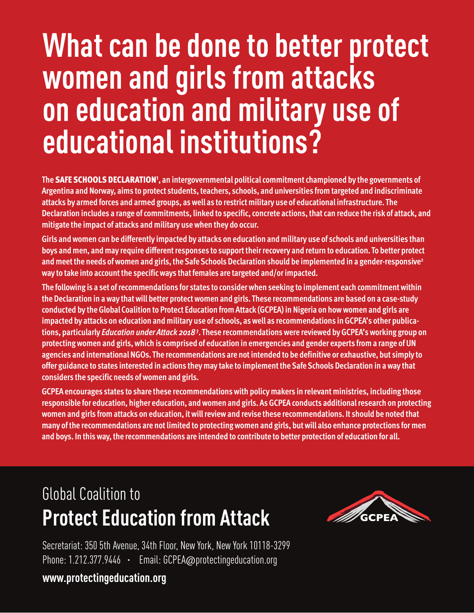# **What can be done to better protect women and girlsfrom attacks on education and military useof educational institutions?**

**The SAFE SCHOOLS DECLARATION1 , an intergovernmental politicalcommitmentchampioned by the governments of Argentina and Norway, aims to protect students,teachers, schools, and universities fromtargeted and indiscriminate attacks by armed forces and armed groups, aswell as to restrictmilitary use of educational infrastructure. The Declaration includes a range ofcommitments, linked to specific,concrete actions,thatcan reduce the risk of attack, and mitigate the impact of attacks andmilitary usewhen they do occur.**

Girls and women can be differently impacted by attacks on education and military use of schools and universities than **boys andmen, andmay require differentresponses to supporttheirrecovery and return to education. To better protect andmeetthe needs ofwomen and girls,theSafeSchools Declaration should be implemented in a gender-responsive2 way to take into accountthe specificways thatfemales are targeted and/orimpacted.**

**The following is a set ofrecommendations for states to considerwhen seeking to implement each commitmentwithin the Declaration in away thatwill better protectwomen and girls. These recommendations are based on a case-study conducted by theGlobalCoalition to Protect Education fromAttack (GCPEA) in Nigeria on howwomen and girls are impacted by attacks on education andmilitary use of schools, aswell as recommendations inGCPEA's other publications, particularly** *Education underAttack 20183* **. These recommendationswere reviewed byGCPEA'sworking group on protectingwomen and girls,which is comprised of education in emergencies and gender experts froma range ofUN agencies and internationalNGOs. The recommendations are notintended to be definitive or exhaustive, but simply to offer guidance to states interested in actions theymay take to implementtheSafeSchools Declaration in away that considers the specificneeds ofwomen and girls.**

**GCPEA encourages states to share these recommendationswith policymakers in relevantministries, including those responsible for education, higher education, andwomen and girls. AsGCPEA conducts additionalresearch on protecting women and girls fromattacks on education, itwillreviewand revise these recommendations. It should be noted that many ofthe recommendations are notlimited to protectingwomen and girls, butwill also enhance protections formen and boys. In thisway,the recommendations are intended to contribute to better protection of education for all.**

# Global Coalition to **Protect Education from Attack**



Secretariat: 350 5th Avenue, 34th Floor, New York, New York 10118-3299 Phone: 1.212.377.9446 · Email: GCPEA@protectingeducation.org

**www.protectingeducation.org**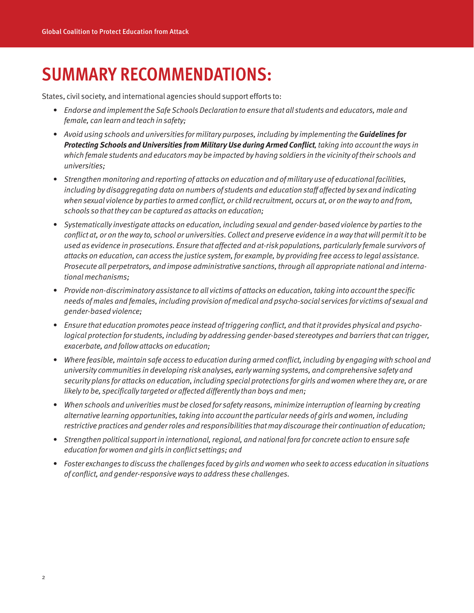### **SUMMARY RECOMMENDATIONS:**

States, civil society, and international agencies should support efforts to:

- Endorse and implement the Safe Schools Declaration to ensure that all students and educators, male and female, can learn and teach in safety;
- Avoid using schools and universities for military purposes, including by implementing the**Guidelines for Protecting Schools and Universities from Military Use during Armed Conflict, taking into account the ways in** which female students and educators may be impacted by having soldiers in the vicinity oftheir schools and universities;
- Strengthen monitoring and reporting of attacks on education and of military use of educational facilities, including by disaggregating data on numbers of students and education staff affected by sex and indicating when sexual violence by parties to armed conflict, or child recruitment, occurs at, or on the way to and from, schools so that they can be captured as attacks on education;
- Systematically investigate attacks on education, including sexual and gender-based violence by parties to the conflict at, or on the way to, school or universities. Collect and preserve evidence in a way that will permit it to be used as evidence in prosecutions. Ensure that affected and at-risk populations, particularly female survivors of attacks on education, can access the justice system, for example, by providing free access to legal assistance. Prosecute all perpetrators, and impose administrative sanctions,through all appropriate national and international mechanisms;
- Provide non-discriminatory assistance to all victims of attacks on education, taking into account the specific needs of males and females, including provision of medical and psycho-social services for victims of sexual and gender-based violence;
- Ensure that education promotes peace instead of triggering conflict, and that it provides physical and psychological protection for students, including by addressing gender-based stereotypes and barriers that can trigger, exacerbate, and followattacks on education;
- Where feasible, maintain safe access to education during armed conflict, including by engaging with school and university communities in developing risk analyses, earlywarning systems, and comprehensive safety and security plans for attacks on education, including special protections forgirls andwomenwhere they are, or are likely to be, specifically targeted or affected differently than boys and men;
- When schools and univerities must be closed for safety reasons, minimize interruption of learning by creating alternative learning opportunities, taking into account the particular needs of girls and women, including restrictive practices and genderroles and responsibilities that may discourage their continuation of education;
- Strengthen political support in international, regional, and national fora for concrete action to ensure safe education forwomen and girls in conflict settings; and
- Foster exchanges to discuss the challenges faced by girls and women who seek to access education in situations of conflict, and gender-responsiveways to address these challenges.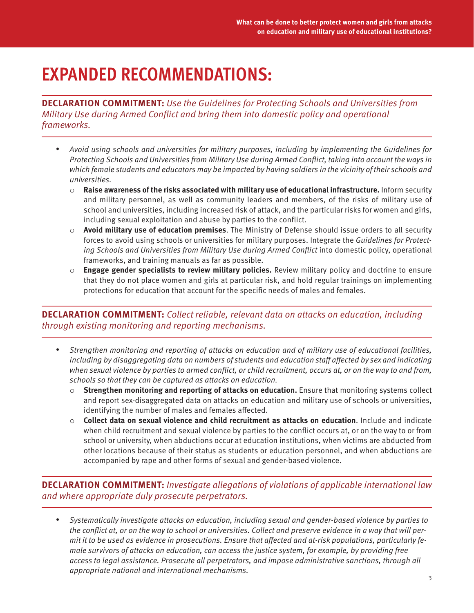## **EXPANDED RECOMMENDATIONS:**

**DECLARATION COMMITMENT:** Use the Guidelines for Protecting Schools and Universities from Military Use during Armed Conflict and bring them into domestic policy and operational frameworks.

- Avoid using schools and universities for military purposes, including by implementing the Guidelines for Protecting Schools and Universities from Military Use during Armed Conflict, taking into account the ways in which female students and educators may be impacted by having soldiers in the vicinity of their schools and universities.
	- o **Raise awareness of the risks associated with military use of educational infrastructure.** Inform security and military personnel, as well as community leaders and members, of the risks of military use of school and universities, including increased risk of attack, and the particular risks for women and girls, including sexual exploitation and abuse by parties to the conflict.
	- o **Avoid military use of education premises**. The Ministry of Defense should issue orders to all security forces to avoid using schools or universities for military purposes. Integrate the Guidelines for Protecting Schools and Universities from Military Use during Armed Conflict into domestic policy, operational frameworks, and training manuals as far as possible.
	- o **Engage gender specialists to review military policies.** Review military policy and doctrine to ensure that they do not place women and girls at particular risk, and hold regular trainings on implementing protections for education that account for the specific needs of males and females.

#### **DECLARATION COMMITMENT:** Collect reliable, relevant data on attacks on education, including through existing monitoring and reporting mechanisms.

- Strengthen monitoring and reporting of attacks on education and of military use of educational facilities, including by disaggregating data on numbers of students and education staff affected by sex and indicating when sexual violence by parties to armed conflict, or child recruitment, occurs at, or on the way to and from, schools so that they can be captured as attacks on education.
	- o **Strengthen monitoring and reporting of attacks on education.** Ensure that monitoring systems collect and report sex-disaggregated data on attacks on education and military use of schools or universities, identifying the number of males and females affected.
	- o **Collect data on sexual violence and child recruitment as attacks on education**. Include and indicate when child recruitment and sexual violence by parties to the conflict occurs at, or on the way to or from school or university, when abductions occur at education institutions, when victims are abducted from other locations because of their status as students or education personnel, and when abductions are accompanied by rape and other forms of sexual and gender-based violence.

**DECLARATION COMMITMENT:** Investigate allegations of violations of applicable international law and where appropriate duly prosecute perpetrators.

• Systematically investigate attacks on education, including sexual and gender-based violence by parties to the conflict at, or on the way to school or universities. Collect and preserve evidence in a way that will permit it to be used as evidence in prosecutions. Ensure that affected and at-risk populations, particularly female survivors of attacks on education, can access the justice system, for example, by providing free access to legal assistance. Prosecute all perpetrators, and impose administrative sanctions, through all appropriate national and international mechanisms.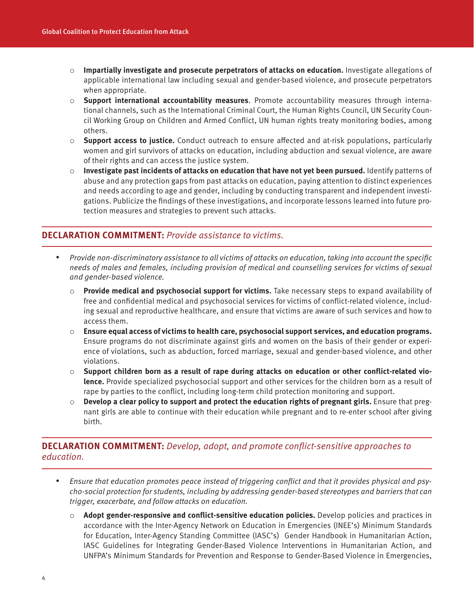- o **Impartially investigate and prosecute perpetrators of attacks on education.** Investigate allegations of applicable international law including sexual and gender-based violence, and prosecute perpetrators when appropriate.
- o **Support international accountability measures**. Promote accountability measures through international channels, such as the International Criminal Court, the Human Rights Council, UN Security Council Working Group on Children and Armed Conflict, UN human rights treaty monitoring bodies, among others.
- o **Support access to justice.** Conduct outreach to ensure affected and at-risk populations, particularly women and girl survivors of attacks on education, including abduction and sexual violence, are aware of their rights and can access the justice system.
- o **Investigate past incidents of attacks on education that have not yet been pursued.** Identify patterns of abuse and any protection gaps from past attacks on education, paying attention to distinct experiences and needs according to age and gender, including by conducting transparent and independent investigations. Publicize the findings of these investigations, and incorporate lessons learned into future protection measures and strategies to prevent such attacks.

#### **DECLARATION COMMITMENT:** Provide assistance to victims.

- Provide non-discriminatory assistance to all victims of attacks on education, taking into account the specific needs of males and females, including provision of medical and counselling services for victims of sexual and gender-based violence.
	- o **Provide medical and psychosocial support for victims.** Take necessary steps to expand availability of free and confidential medical and psychosocial services for victims of conflict-related violence, including sexual and reproductive healthcare, and ensure that victims are aware of such services and how to access them.
	- o **Ensure equal access of victims to health care, psychosocial support services, and education programs.** Ensure programs do not discriminate against girls and women on the basis of their gender or experience of violations, such as abduction, forced marriage, sexual and gender-based violence, and other violations.
	- o **Support children born as a result of rape during attacks on education or other conflict-related violence.** Provide specialized psychosocial support and other services for the children born as a result of rape by parties to the conflict, including long-term child protection monitoring and support.
	- o **Develop a clear policy to support and protect the education rights of pregnant girls.** Ensure that pregnant girls are able to continue with their education while pregnant and to re-enter school after giving birth.

#### **DECLARATION COMMITMENT:** Develop, adopt, and promote conflict-sensitive approaches to education.

- Ensure that education promotes peace instead of triggering conflict and that it provides physical and psycho-social protection for students, including by addressing gender-based stereotypes and barriers that can trigger, exacerbate, and follow attacks on education.
	- o **Adopt gender-responsive and conflict-sensitive education policies.** Develop policies and practices in accordance with the Inter-Agency Network on Education in Emergencies (INEE's) Minimum Standards for Education, Inter-Agency Standing Committee (IASC's) Gender Handbook in Humanitarian Action, IASC Guidelines for Integrating Gender-Based Violence Interventions in Humanitarian Action, and UNFPA's Minimum Standards for Prevention and Response to Gender-Based Violence in Emergencies,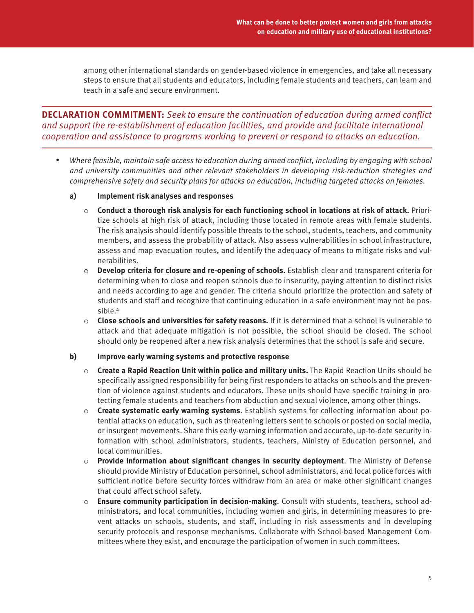among other international standards on gender-based violence in emergencies, and take all necessary steps to ensure that all students and educators, including female students and teachers, can learn and teach in a safe and secure environment.

**DECLARATION COMMITMENT:** Seek to ensure the continuation of education during armed conflict and support the re-establishment of education facilities, and provide and facilitate international cooperation and assistance to programs working to prevent or respond to attacks on education.

- Where feasible, maintain safe access to education during armed conflict, including by engaging with school and university communities and other relevant stakeholders in developing risk-reduction strategies and comprehensive safety and security plans for attacks on education, including targeted attacks on females.
	- **a) Implement risk analyses and responses** 
		- o **Conduct a thorough risk analysis for each functioning school in locations at risk of attack.** Prioritize schools at high risk of attack, including those located in remote areas with female students. The risk analysis should identify possible threats to the school, students, teachers, and community members, and assess the probability of attack. Also assess vulnerabilities in school infrastructure, assess and map evacuation routes, and identify the adequacy of means to mitigate risks and vulnerabilities.
		- o **Develop criteria for closure and re-opening of schools.** Establish clear and transparent criteria for determining when to close and reopen schools due to insecurity, paying attention to distinct risks and needs according to age and gender. The criteria should prioritize the protection and safety of students and staff and recognize that continuing education in a safe environment may not be possible.4
		- o **Close schools and universities for safety reasons.** If it is determined that a school is vulnerable to attack and that adequate mitigation is not possible, the school should be closed. The school should only be reopened after a new risk analysis determines that the school is safe and secure.

#### **b) Improve early warning systems and protective response**

- o **Create a Rapid Reaction Unit within police and military units.** The Rapid Reaction Units should be specifically assigned responsibility for being first responders to attacks on schools and the prevention of violence against students and educators. These units should have specific training in protecting female students and teachers from abduction and sexual violence, among other things.
- o **Create systematic early warning systems**. Establish systems for collecting information about potential attacks on education, such as threatening letters sent to schools or posted on social media, or insurgent movements. Share this early-warning information and accurate, up-to-date security information with school administrators, students, teachers, Ministry of Education personnel, and local communities.
- o **Provide information about significant changes in security deployment**. The Ministry of Defense should provide Ministry of Education personnel, school administrators, and local police forces with sufficient notice before security forces withdraw from an area or make other significant changes that could affect school safety.
- o **Ensure community participation in decision-making**. Consult with students, teachers, school administrators, and local communities, including women and girls, in determining measures to prevent attacks on schools, students, and staff, including in risk assessments and in developing security protocols and response mechanisms. Collaborate with School-based Management Committees where they exist, and encourage the participation of women in such committees.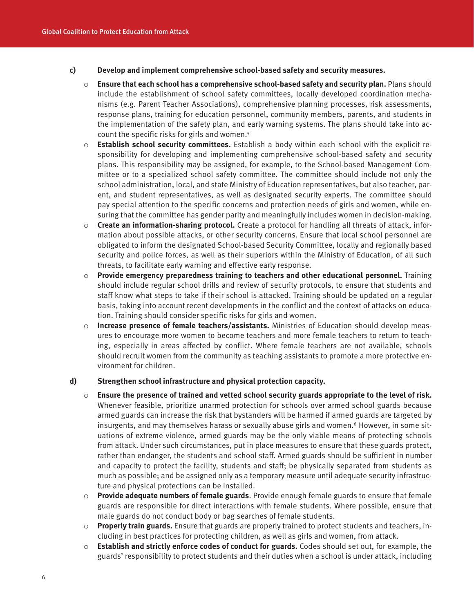#### **c) Develop and implement comprehensive school-based safety and security measures.**

- o **Ensure that each school has a comprehensive school-based safety and security plan.** Plans should include the establishment of school safety committees, locally developed coordination mechanisms (e.g. Parent Teacher Associations), comprehensive planning processes, risk assessments, response plans, training for education personnel, community members, parents, and students in the implementation of the safety plan, and early warning systems. The plans should take into account the specific risks for girls and women. 5
- o **Establish school security committees.** Establish a body within each school with the explicit responsibility for developing and implementing comprehensive school-based safety and security plans. This responsibility may be assigned, for example, to the School-based Management Committee or to a specialized school safety committee. The committee should include not only the school administration, local, and state Ministry of Education representatives, but also teacher, parent, and student representatives, as well as designated security experts. The committee should pay special attention to the specific concerns and protection needs of girls and women, while ensuring that the committee has gender parity and meaningfully includes women in decision-making.
- o **Create an information-sharing protocol.** Create a protocol for handling all threats of attack, information about possible attacks, or other security concerns. Ensure that local school personnel are obligated to inform the designated School-based Security Committee, locally and regionally based security and police forces, as well as their superiors within the Ministry of Education, of all such threats, to facilitate early warning and effective early response.
- o **Provide emergency preparedness training to teachers and other educational personnel.** Training should include regular school drills and review of security protocols, to ensure that students and staff know what steps to take if their school is attacked. Training should be updated on a regular basis, taking into account recent developments in the conflict and the context of attacks on education. Training should consider specific risks for girls and women.
- o **Increase presence of female teachers/assistants.** Ministries of Education should develop measures to encourage more women to become teachers and more female teachers to return to teaching, especially in areas affected by conflict. Where female teachers are not available, schools should recruit women from the community as teaching assistants to promote a more protective environment for children.

#### **d) Strengthen school infrastructure and physical protection capacity.**

- o **Ensure the presence of trained and vetted school security guards appropriate to the level of risk.** Whenever feasible, prioritize unarmed protection for schools over armed school guards because armed guards can increase the risk that bystanders will be harmed if armed guards are targeted by insurgents, and may themselves harass or sexually abuse girls and women. <sup>6</sup> However, in some situations of extreme violence, armed guards may be the only viable means of protecting schools from attack. Under such circumstances, put in place measures to ensure that these guards protect, rather than endanger, the students and school staff. Armed guards should be sufficient in number and capacity to protect the facility, students and staff; be physically separated from students as much as possible; and be assigned only as a temporary measure until adequate security infrastructure and physical protections can be installed.
- o **Provide adequate numbers of female guards**. Provide enough female guards to ensure that female guards are responsible for direct interactions with female students. Where possible, ensure that male guards do not conduct body or bag searches of female students.
- o **Properly train guards.** Ensure that guards are properly trained to protect students and teachers, including in best practices for protecting children, as well as girls and women, from attack.
- o **Establish and strictly enforce codes of conduct for guards.** Codes should set out, for example, the guards' responsibility to protect students and their duties when a school is under attack, including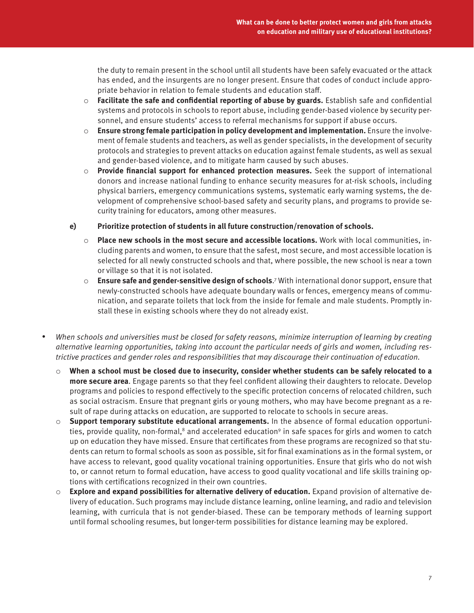the duty to remain present in the school until all students have been safely evacuated or the attack has ended, and the insurgents are no longer present. Ensure that codes of conduct include appropriate behavior in relation to female students and education staff.

- o **Facilitate the safe and confidential reporting of abuse by guards.** Establish safe and confidential systems and protocols in schools to report abuse, including gender-based violence by security personnel, and ensure students' access to referral mechanisms for support if abuse occurs.
- o **Ensure strong female participation in policy development and implementation.** Ensure the involvement of female students and teachers, as well as gender specialists, in the development of security protocols and strategies to prevent attacks on education against female students, as well as sexual and gender-based violence, and to mitigate harm caused by such abuses.
- o **Provide financial support for enhanced protection measures.** Seek the support of international donors and increase national funding to enhance security measures for at-risk schools, including physical barriers, emergency communications systems, systematic early warning systems, the development of comprehensive school-based safety and security plans, and programs to provide security training for educators, among other measures.
- **e) Prioritize protection of students in all future construction/renovation of schools.** 
	- o **Place new schools in the most secure and accessible locations.** Work with local communities, including parents and women, to ensure that the safest, most secure, and most accessible location is selected for all newly constructed schools and that, where possible, the new school is near a town or village so that it is not isolated.
	- o **Ensure safe and gender-sensitive design of schools**.<sup>7</sup> With international donor support, ensure that newly-constructed schools have adequate boundary walls or fences, emergency means of communication, and separate toilets that lock from the inside for female and male students. Promptly install these in existing schools where they do not already exist.
- When schools and universities must be closed for safety reasons, minimize interruption of learning by creating alternative learning opportunities, taking into account the particular needs of girls and women, including restrictive practices and gender roles and responsibilities that may discourage their continuation of education.
	- o **When a school must be closed due to insecurity, consider whether students can be safely relocated to a more secure area**. Engage parents so that they feel confident allowing their daughters to relocate. Develop programs and policies to respond effectively to the specific protection concerns of relocated children, such as social ostracism. Ensure that pregnant girls or young mothers, who may have become pregnant as a result of rape during attacks on education, are supported to relocate to schools in secure areas.
	- o **Support temporary substitute educational arrangements.** In the absence of formal education opportunities, provide quality, non-formal, $8$  and accelerated education $9$  in safe spaces for girls and women to catch up on education they have missed. Ensure that certificates from these programs are recognized so that students can return to formal schools as soon as possible, sit for final examinations as in the formal system, or have access to relevant, good quality vocational training opportunities. Ensure that girls who do not wish to, or cannot return to formal education, have access to good quality vocational and life skills training options with certifications recognized in their own countries.
	- o **Explore and expand possibilities for alternative delivery of education.** Expand provision of alternative delivery of education. Such programs may include distance learning, online learning, and radio and television learning, with curricula that is not gender-biased. These can be temporary methods of learning support until formal schooling resumes, but longer-term possibilities for distance learning may be explored.